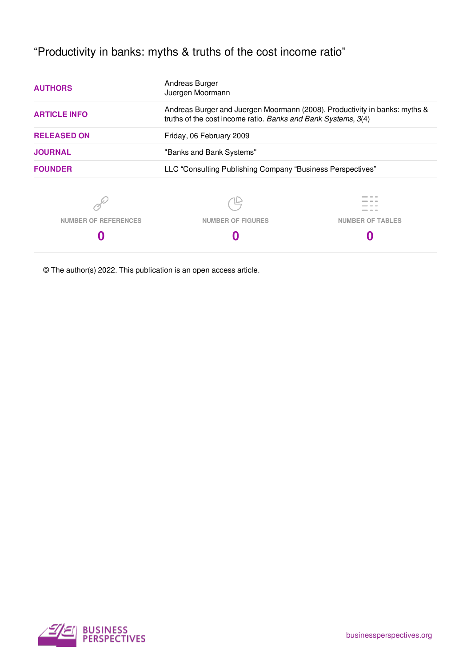"Productivity in banks: myths & truths of the cost income ratio"

| <b>AUTHORS</b>              | Andreas Burger<br>Juergen Moormann<br>Andreas Burger and Juergen Moormann (2008). Productivity in banks: myths &<br>truths of the cost income ratio. Banks and Bank Systems, 3(4) |                         |
|-----------------------------|-----------------------------------------------------------------------------------------------------------------------------------------------------------------------------------|-------------------------|
| <b>ARTICLE INFO</b>         |                                                                                                                                                                                   |                         |
| <b>RELEASED ON</b>          | Friday, 06 February 2009                                                                                                                                                          |                         |
| <b>JOURNAL</b>              | "Banks and Bank Systems"                                                                                                                                                          |                         |
| <b>FOUNDER</b>              | LLC "Consulting Publishing Company "Business Perspectives"                                                                                                                        |                         |
|                             |                                                                                                                                                                                   |                         |
| <b>NUMBER OF REFERENCES</b> | <b>NUMBER OF FIGURES</b>                                                                                                                                                          | <b>NUMBER OF TABLES</b> |
|                             |                                                                                                                                                                                   |                         |

© The author(s) 2022. This publication is an open access article.

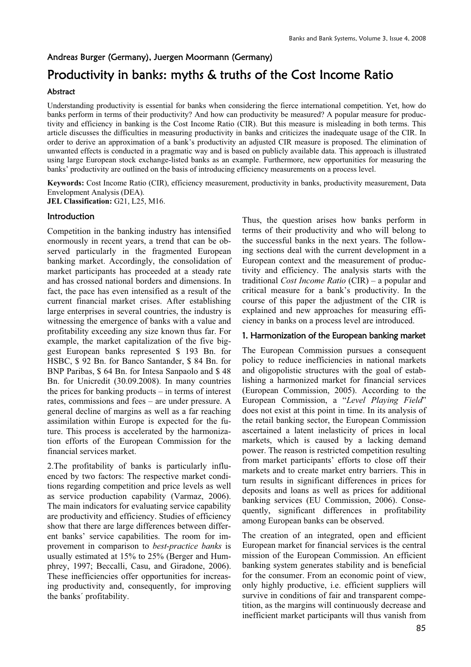### Andreas Burger (Germany), Juergen Moormann (Germany)

# Productivity in banks: myths & truths of the Cost Income Ratio

### Abstract

Understanding productivity is essential for banks when considering the fierce international competition. Yet, how do banks perform in terms of their productivity? And how can productivity be measured? A popular measure for productivity and efficiency in banking is the Cost Income Ratio (CIR). But this measure is misleading in both terms. This article discusses the difficulties in measuring productivity in banks and criticizes the inadequate usage of the CIR. In order to derive an approximation of a bank's productivity an adjusted CIR measure is proposed. The elimination of unwanted effects is conducted in a pragmatic way and is based on publicly available data. This approach is illustrated using large European stock exchange-listed banks as an example. Furthermore, new opportunities for measuring the banks' productivity are outlined on the basis of introducing efficiency measurements on a process level.

**Keywords:** Cost Income Ratio (CIR), efficiency measurement, productivity in banks, productivity measurement, Data Envelopment Analysis (DEA).

**JEL Classification:** G21, L25, M16.

### Introduction

Competition in the banking industry has intensified enormously in recent years, a trend that can be observed particularly in the fragmented European banking market. Accordingly, the consolidation of market participants has proceeded at a steady rate and has crossed national borders and dimensions. In fact, the pace has even intensified as a result of the current financial market crises. After establishing large enterprises in several countries, the industry is witnessing the emergence of banks with a value and profitability exceeding any size known thus far. For example, the market capitalization of the five biggest European banks represented \$ 193 Bn. for HSBC, \$ 92 Bn. for Banco Santander, \$ 84 Bn. for BNP Paribas, \$ 64 Bn. for Intesa Sanpaolo and \$ 48 Bn. for Unicredit (30.09.2008). In many countries the prices for banking products – in terms of interest rates, commissions and fees – are under pressure. A general decline of margins as well as a far reaching assimilation within Europe is expected for the future. This process is accelerated by the harmonization efforts of the European Commission for the financial services market.

2.The profitability of banks is particularly influenced by two factors: The respective market conditions regarding competition and price levels as well as service production capability (Varmaz, 2006). The main indicators for evaluating service capability are productivity and efficiency. Studies of efficiency show that there are large differences between different banks' service capabilities. The room for improvement in comparison to *best-practice banks* is usually estimated at 15% to 25% (Berger and Humphrey, 1997; Beccalli, Casu, and Giradone, 2006). These inefficiencies offer opportunities for increasing productivity and, consequently, for improving the banks´ profitability.

Thus, the question arises how banks perform in terms of their productivity and who will belong to the successful banks in the next years. The following sections deal with the current development in a European context and the measurement of productivity and efficiency. The analysis starts with the traditional *Cost Income Ratio* (CIR) – a popular and critical measure for a bank's productivity. In the course of this paper the adjustment of the CIR is explained and new approaches for measuring efficiency in banks on a process level are introduced.

### 1. Harmonization of the European banking market

The European Commission pursues a consequent policy to reduce inefficiencies in national markets and oligopolistic structures with the goal of establishing a harmonized market for financial services (European Commission, 2005). According to the European Commission, a "*Level Playing Field*" does not exist at this point in time. In its analysis of the retail banking sector, the European Commission ascertained a latent inelasticity of prices in local markets, which is caused by a lacking demand power. The reason is restricted competition resulting from market participants' efforts to close off their markets and to create market entry barriers. This in turn results in significant differences in prices for deposits and loans as well as prices for additional banking services (EU Commission, 2006). Consequently, significant differences in profitability among European banks can be observed.

The creation of an integrated, open and efficient European market for financial services is the central mission of the European Commission. An efficient banking system generates stability and is beneficial for the consumer. From an economic point of view, only highly productive, i.e. efficient suppliers will survive in conditions of fair and transparent competition, as the margins will continuously decrease and inefficient market participants will thus vanish from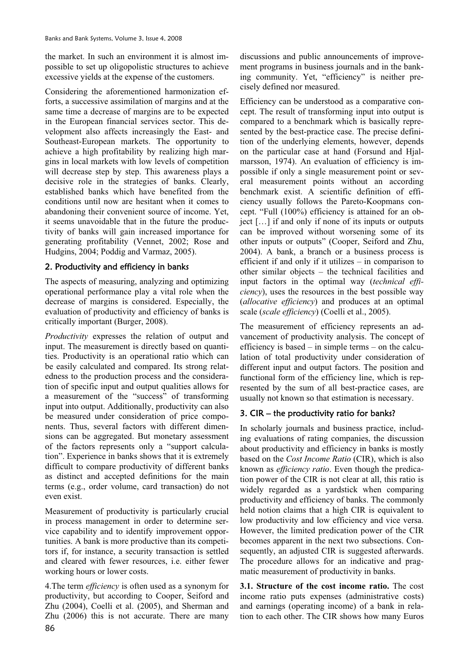the market. In such an environment it is almost impossible to set up oligopolistic structures to achieve excessive yields at the expense of the customers.

Considering the aforementioned harmonization efforts, a successive assimilation of margins and at the same time a decrease of margins are to be expected in the European financial services sector. This development also affects increasingly the East- and Southeast-European markets. The opportunity to achieve a high profitability by realizing high margins in local markets with low levels of competition will decrease step by step. This awareness plays a decisive role in the strategies of banks. Clearly, established banks which have benefited from the conditions until now are hesitant when it comes to abandoning their convenient source of income. Yet, it seems unavoidable that in the future the productivity of banks will gain increased importance for generating profitability (Vennet, 2002; Rose and Hudgins, 2004; Poddig and Varmaz, 2005).

### 2. Productivity and efficiency in banks

The aspects of measuring, analyzing and optimizing operational performance play a vital role when the decrease of margins is considered. Especially, the evaluation of productivity and efficiency of banks is critically important (Burger, 2008).

*Productivity* expresses the relation of output and input. The measurement is directly based on quantities. Productivity is an operational ratio which can be easily calculated and compared. Its strong relatedness to the production process and the consideration of specific input and output qualities allows for a measurement of the "success" of transforming input into output. Additionally, productivity can also be measured under consideration of price components. Thus, several factors with different dimensions can be aggregated. But monetary assessment of the factors represents only a "support calculation". Experience in banks shows that it is extremely difficult to compare productivity of different banks as distinct and accepted definitions for the main terms (e.g., order volume, card transaction) do not even exist.

Measurement of productivity is particularly crucial in process management in order to determine service capability and to identify improvement opportunities. A bank is more productive than its competitors if, for instance, a security transaction is settled and cleared with fewer resources, i.e. either fewer working hours or lower costs.

4.The term *efficiency* is often used as a synonym for productivity, but according to Cooper, Seiford and Zhu (2004), Coelli et al. (2005), and Sherman and Zhu (2006) this is not accurate. There are many

discussions and public announcements of improvement programs in business journals and in the banking community. Yet, "efficiency" is neither precisely defined nor measured.

Efficiency can be understood as a comparative concept. The result of transforming input into output is compared to a benchmark which is basically represented by the best-practice case. The precise definition of the underlying elements, however, depends on the particular case at hand (Forsund and Hjalmarsson, 1974). An evaluation of efficiency is impossible if only a single measurement point or several measurement points without an according benchmark exist. A scientific definition of efficiency usually follows the Pareto-Koopmans concept. "Full (100%) efficiency is attained for an object […] if and only if none of its inputs or outputs can be improved without worsening some of its other inputs or outputs" (Cooper, Seiford and Zhu, 2004). A bank, a branch or a business process is efficient if and only if it utilizes – in comparison to other similar objects – the technical facilities and input factors in the optimal way (*technical efficiency*), uses the resources in the best possible way (*allocative efficiency*) and produces at an optimal scale (*scale efficiency*) (Coelli et al., 2005).

The measurement of efficiency represents an advancement of productivity analysis. The concept of efficiency is based – in simple terms – on the calculation of total productivity under consideration of different input and output factors. The position and functional form of the efficiency line, which is represented by the sum of all best-practice cases, are usually not known so that estimation is necessary.

## 3. CIR – the productivity ratio for banks?

In scholarly journals and business practice, including evaluations of rating companies, the discussion about productivity and efficiency in banks is mostly based on the *Cost Income Ratio* (CIR), which is also known as *efficiency ratio*. Even though the predication power of the CIR is not clear at all, this ratio is widely regarded as a yardstick when comparing productivity and efficiency of banks. The commonly held notion claims that a high CIR is equivalent to low productivity and low efficiency and vice versa. However, the limited predication power of the CIR becomes apparent in the next two subsections. Consequently, an adjusted CIR is suggested afterwards. The procedure allows for an indicative and pragmatic measurement of productivity in banks.

**3.1. Structure of the cost income ratio.** The cost income ratio puts expenses (administrative costs) and earnings (operating income) of a bank in relation to each other. The CIR shows how many Euros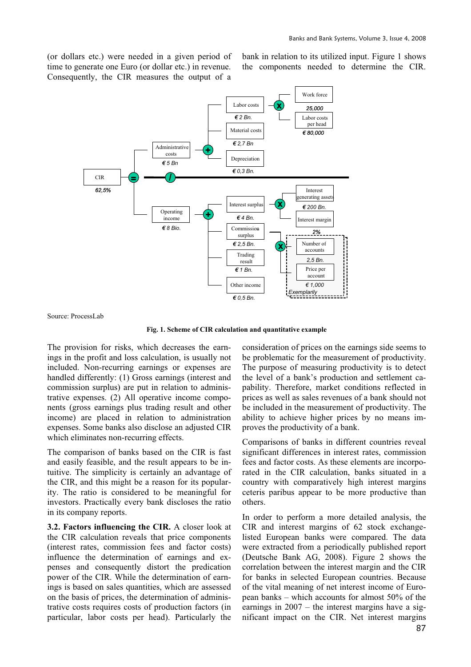(or dollars etc.) were needed in a given period of time to generate one Euro (or dollar etc.) in revenue. Consequently, the CIR measures the output of a bank in relation to its utilized input. Figure 1 shows the components needed to determine the CIR.



Source: ProcessLab

**Fig. 1. Scheme of CIR calculation and quantitative example**

The provision for risks, which decreases the earnings in the profit and loss calculation, is usually not included. Non-recurring earnings or expenses are handled differently: (1) Gross earnings (interest and commission surplus) are put in relation to administrative expenses. (2) All operative income components (gross earnings plus trading result and other income) are placed in relation to administration expenses. Some banks also disclose an adjusted CIR which eliminates non-recurring effects.

The comparison of banks based on the CIR is fast and easily feasible, and the result appears to be intuitive. The simplicity is certainly an advantage of the CIR, and this might be a reason for its popularity. The ratio is considered to be meaningful for investors. Practically every bank discloses the ratio in its company reports.

**3.2. Factors influencing the CIR.** A closer look at the CIR calculation reveals that price components (interest rates, commission fees and factor costs) influence the determination of earnings and expenses and consequently distort the predication power of the CIR. While the determination of earnings is based on sales quantities, which are assessed on the basis of prices, the determination of administrative costs requires costs of production factors (in particular, labor costs per head). Particularly the consideration of prices on the earnings side seems to be problematic for the measurement of productivity. The purpose of measuring productivity is to detect the level of a bank's production and settlement capability. Therefore, market conditions reflected in prices as well as sales revenues of a bank should not be included in the measurement of productivity. The ability to achieve higher prices by no means improves the productivity of a bank.

Comparisons of banks in different countries reveal significant differences in interest rates, commission fees and factor costs. As these elements are incorporated in the CIR calculation, banks situated in a country with comparatively high interest margins ceteris paribus appear to be more productive than others.

In order to perform a more detailed analysis, the CIR and interest margins of 62 stock exchangelisted European banks were compared. The data were extracted from a periodically published report (Deutsche Bank AG, 2008). Figure 2 shows the correlation between the interest margin and the CIR for banks in selected European countries. Because of the vital meaning of net interest income of European banks – which accounts for almost 50% of the earnings in 2007 – the interest margins have a significant impact on the CIR. Net interest margins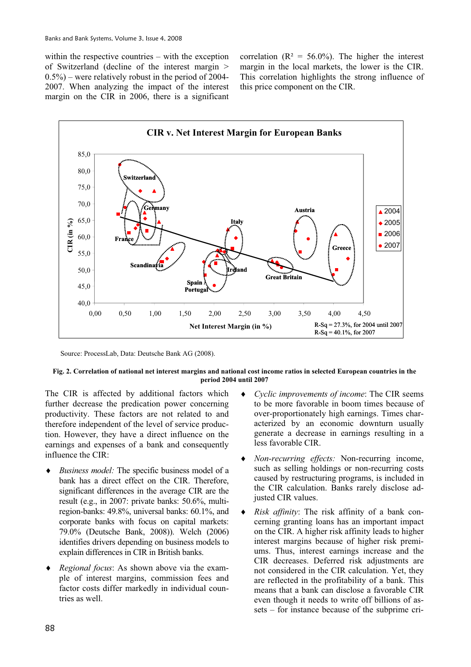within the respective countries – with the exception of Switzerland (decline of the interest margin >  $(0.5\%)$  – were relatively robust in the period of 2004-2007. When analyzing the impact of the interest margin on the CIR in 2006, there is a significant correlation ( $R^2 = 56.0\%$ ). The higher the interest margin in the local markets, the lower is the CIR. This correlation highlights the strong influence of this price component on the CIR.



Source: ProcessLab, Data: Deutsche Bank AG (2008).

#### **Fig. 2. Correlation of national net interest margins and national cost income ratios in selected European countries in the period 2004 until 2007**

The CIR is affected by additional factors which further decrease the predication power concerning productivity. These factors are not related to and therefore independent of the level of service production. However, they have a direct influence on the earnings and expenses of a bank and consequently influence the CIR:

- *Business model:* The specific business model of a bank has a direct effect on the CIR. Therefore, significant differences in the average CIR are the result (e.g., in 2007: private banks: 50.6%, multiregion-banks: 49.8%, universal banks: 60.1%, and corporate banks with focus on capital markets: 79.0% (Deutsche Bank, 2008)). Welch (2006) identifies drivers depending on business models to explain differences in CIR in British banks.
- *Regional focus*: As shown above via the example of interest margins, commission fees and factor costs differ markedly in individual countries as well.
- i *Cyclic improvements of income*: The CIR seems to be more favorable in boom times because of over-proportionately high earnings. Times characterized by an economic downturn usually generate a decrease in earnings resulting in a less favorable CIR.
- i *Non-recurring effects:* Non-recurring income, such as selling holdings or non-recurring costs caused by restructuring programs, is included in the CIR calculation. Banks rarely disclose adjusted CIR values.
- i *Risk affinity*: The risk affinity of a bank concerning granting loans has an important impact on the CIR. A higher risk affinity leads to higher interest margins because of higher risk premiums. Thus, interest earnings increase and the CIR decreases. Deferred risk adjustments are not considered in the CIR calculation. Yet, they are reflected in the profitability of a bank. This means that a bank can disclose a favorable CIR even though it needs to write off billions of assets – for instance because of the subprime cri-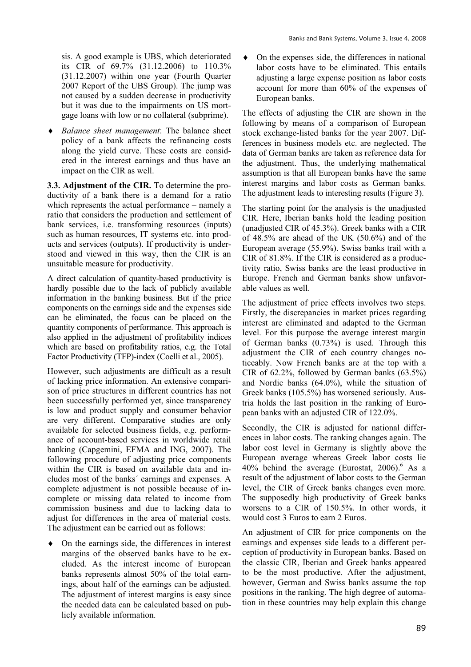sis. A good example is UBS, which deteriorated its CIR of 69.7% (31.12.2006) to 110.3% (31.12.2007) within one year (Fourth Quarter 2007 Report of the UBS Group). The jump was not caused by a sudden decrease in productivity but it was due to the impairments on US mortgage loans with low or no collateral (subprime).

i *Balance sheet management*: The balance sheet policy of a bank affects the refinancing costs along the yield curve. These costs are considered in the interest earnings and thus have an impact on the CIR as well.

**3.3. Adjustment of the CIR.** To determine the productivity of a bank there is a demand for a ratio which represents the actual performance – namely a ratio that considers the production and settlement of bank services, i.e. transforming resources (inputs) such as human resources, IT systems etc. into products and services (outputs). If productivity is understood and viewed in this way, then the CIR is an unsuitable measure for productivity.

A direct calculation of quantity-based productivity is hardly possible due to the lack of publicly available information in the banking business. But if the price components on the earnings side and the expenses side can be eliminated, the focus can be placed on the quantity components of performance. This approach is also applied in the adjustment of profitability indices which are based on profitability ratios, e.g. the Total Factor Productivity (TFP)-index (Coelli et al., 2005).

However, such adjustments are difficult as a result of lacking price information. An extensive comparison of price structures in different countries has not been successfully performed yet, since transparency is low and product supply and consumer behavior are very different. Comparative studies are only available for selected business fields, e.g. performance of account-based services in worldwide retail banking (Capgemini, EFMA and ING, 2007). The following procedure of adjusting price components within the CIR is based on available data and includes most of the banks´ earnings and expenses. A complete adjustment is not possible because of incomplete or missing data related to income from commission business and due to lacking data to adjust for differences in the area of material costs. The adjustment can be carried out as follows:

On the earnings side, the differences in interest margins of the observed banks have to be excluded. As the interest income of European banks represents almost 50% of the total earnings, about half of the earnings can be adjusted. The adjustment of interest margins is easy since the needed data can be calculated based on publicly available information.

On the expenses side, the differences in national labor costs have to be eliminated. This entails adjusting a large expense position as labor costs account for more than 60% of the expenses of European banks.

The effects of adjusting the CIR are shown in the following by means of a comparison of European stock exchange-listed banks for the year 2007. Differences in business models etc. are neglected. The data of German banks are taken as reference data for the adjustment. Thus, the underlying mathematical assumption is that all European banks have the same interest margins and labor costs as German banks. The adjustment leads to interesting results (Figure 3).

The starting point for the analysis is the unadjusted CIR. Here, Iberian banks hold the leading position (unadjusted CIR of 45.3%). Greek banks with a CIR of 48.5% are ahead of the UK (50.6%) and of the European average (55.9%). Swiss banks trail with a CIR of 81.8%. If the CIR is considered as a productivity ratio, Swiss banks are the least productive in Europe. French and German banks show unfavorable values as well.

The adjustment of price effects involves two steps. Firstly, the discrepancies in market prices regarding interest are eliminated and adapted to the German level. For this purpose the average interest margin of German banks (0.73%) is used. Through this adjustment the CIR of each country changes noticeably. Now French banks are at the top with a CIR of 62.2%, followed by German banks (63.5%) and Nordic banks (64.0%), while the situation of Greek banks (105.5%) has worsened seriously. Austria holds the last position in the ranking of European banks with an adjusted CIR of 122.0%.

Secondly, the CIR is adjusted for national differences in labor costs. The ranking changes again. The labor cost level in Germany is slightly above the European average whereas Greek labor costs lie  $40\%$  behind the average (Eurostat, 2006).<sup>6</sup> As a result of the adjustment of labor costs to the German level, the CIR of Greek banks changes even more. The supposedly high productivity of Greek banks worsens to a CIR of 150.5%. In other words, it would cost 3 Euros to earn 2 Euros.

An adjustment of CIR for price components on the earnings and expenses side leads to a different perception of productivity in European banks. Based on the classic CIR, Iberian and Greek banks appeared to be the most productive. After the adjustment, however, German and Swiss banks assume the top positions in the ranking. The high degree of automation in these countries may help explain this change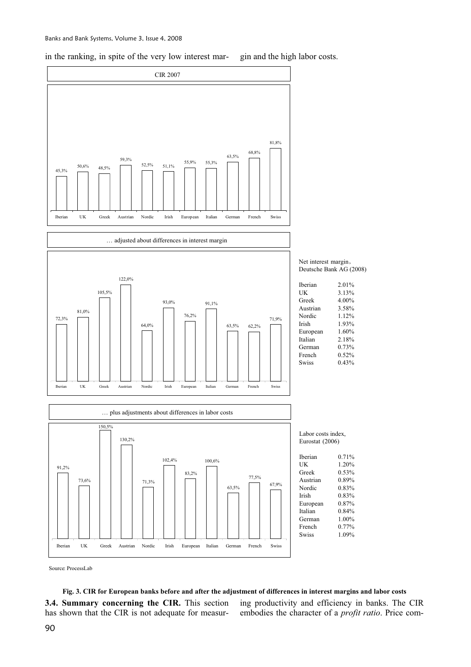in the ranking, in spite of the very low interest mar- gin and the high labor costs.



Net interest margin, Deutsche Bank AG (2008)

| <b>Iberian</b> | 2.01% |
|----------------|-------|
| UK             | 3.13% |
| Greek          | 4 00% |
| Austrian       | 3.58% |
| Nordic         | 1.12% |
| Irish          | 193%  |
| European       | 1.60% |
| Italian        | 2.18% |
| German         | 0.73% |
| French         | 0.52% |
| Swiss          | 0.43% |
|                |       |

Labor costs index, Eurostat (2006)

| Iberian      | 0.71% |
|--------------|-------|
| UK           | 1.20% |
| Greek        | 0.53% |
| Austrian     | 0.89% |
| Nordic       | 0.83% |
| Irish        | 0.83% |
| European     | 0.87% |
| Italian      | 0.84% |
| German       | 1.00% |
| French       | 0.77% |
| <b>Swiss</b> | 1.09% |
|              |       |

Source: ProcessLab

**Fig. 3. CIR for European banks before and after the adjustment of differences in interest margins and labor costs 3.4. Summary concerning the CIR.** This section has shown that the CIR is not adequate for measur-

ing productivity and efficiency in banks. The CIR embodies the character of a *profit ratio*. Price com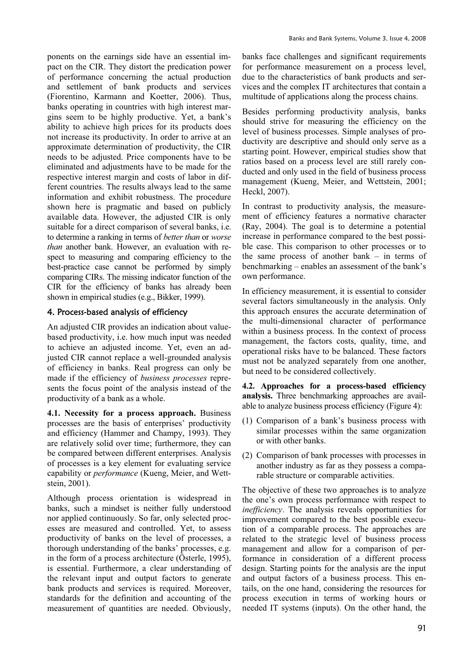ponents on the earnings side have an essential impact on the CIR. They distort the predication power of performance concerning the actual production and settlement of bank products and services (Fiorentino, Karmann and Koetter, 2006). Thus, banks operating in countries with high interest margins seem to be highly productive. Yet, a bank's ability to achieve high prices for its products does not increase its productivity. In order to arrive at an approximate determination of productivity, the CIR needs to be adjusted. Price components have to be eliminated and adjustments have to be made for the respective interest margin and costs of labor in different countries. The results always lead to the same information and exhibit robustness. The procedure shown here is pragmatic and based on publicly available data. However, the adjusted CIR is only suitable for a direct comparison of several banks, i.e. to determine a ranking in terms of *better than* or *worse than* another bank. However, an evaluation with respect to measuring and comparing efficiency to the best-practice case cannot be performed by simply comparing CIRs. The missing indicator function of the CIR for the efficiency of banks has already been shown in empirical studies (e.g., Bikker, 1999).

#### 4. Process-based analysis of efficiency

An adjusted CIR provides an indication about valuebased productivity, i.e. how much input was needed to achieve an adjusted income. Yet, even an adjusted CIR cannot replace a well-grounded analysis of efficiency in banks. Real progress can only be made if the efficiency of *business processes* represents the focus point of the analysis instead of the productivity of a bank as a whole.

**4.1. Necessity for a process approach.** Business processes are the basis of enterprises' productivity and efficiency (Hammer and Champy, 1993). They are relatively solid over time; furthermore, they can be compared between different enterprises. Analysis of processes is a key element for evaluating service capability or *performance* (Kueng, Meier, and Wettstein, 2001).

Although process orientation is widespread in banks, such a mindset is neither fully understood nor applied continuously. So far, only selected processes are measured and controlled. Yet, to assess productivity of banks on the level of processes, a thorough understanding of the banks' processes, e.g. in the form of a process architecture (Österle, 1995), is essential. Furthermore, a clear understanding of the relevant input and output factors to generate bank products and services is required. Moreover, standards for the definition and accounting of the measurement of quantities are needed. Obviously, banks face challenges and significant requirements for performance measurement on a process level, due to the characteristics of bank products and services and the complex IT architectures that contain a multitude of applications along the process chains.

Besides performing productivity analysis, banks should strive for measuring the efficiency on the level of business processes. Simple analyses of productivity are descriptive and should only serve as a starting point. However, empirical studies show that ratios based on a process level are still rarely conducted and only used in the field of business process management (Kueng, Meier, and Wettstein, 2001; Heckl, 2007).

In contrast to productivity analysis, the measurement of efficiency features a normative character (Ray, 2004). The goal is to determine a potential increase in performance compared to the best possible case. This comparison to other processes or to the same process of another bank – in terms of benchmarking – enables an assessment of the bank's own performance.

In efficiency measurement, it is essential to consider several factors simultaneously in the analysis. Only this approach ensures the accurate determination of the multi-dimensional character of performance within a business process. In the context of process management, the factors costs, quality, time, and operational risks have to be balanced. These factors must not be analyzed separately from one another, but need to be considered collectively.

**4.2. Approaches for a process-based efficiency analysis.** Three benchmarking approaches are available to analyze business process efficiency (Figure 4):

- (1) Comparison of a bank's business process with similar processes within the same organization or with other banks.
- (2) Comparison of bank processes with processes in another industry as far as they possess a comparable structure or comparable activities.

The objective of these two approaches is to analyze the one's own process performance with respect to *inefficiency*. The analysis reveals opportunities for improvement compared to the best possible execution of a comparable process. The approaches are related to the strategic level of business process management and allow for a comparison of performance in consideration of a different process design. Starting points for the analysis are the input and output factors of a business process. This entails, on the one hand, considering the resources for process execution in terms of working hours or needed IT systems (inputs). On the other hand, the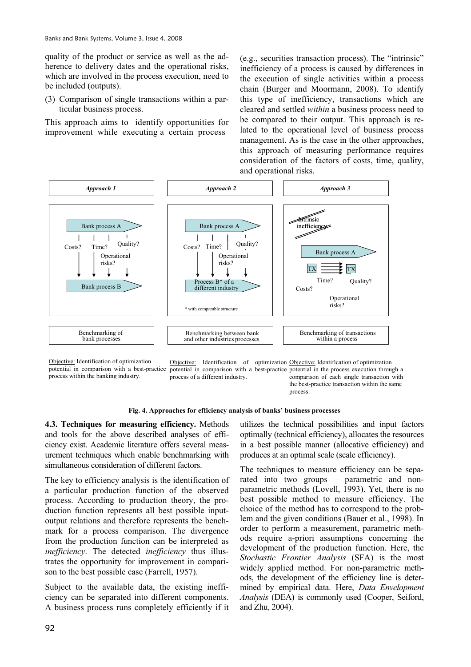quality of the product or service as well as the adherence to delivery dates and the operational risks, which are involved in the process execution, need to be included (outputs).

(3) Comparison of single transactions within a particular business process.

This approach aims to identify opportunities for improvement while executing a certain process

(e.g., securities transaction process). The "intrinsic" inefficiency of a process is caused by differences in the execution of single activities within a process chain (Burger and Moormann, 2008). To identify this type of inefficiency, transactions which are cleared and settled *within* a business process need to be compared to their output. This approach is related to the operational level of business process management. As is the case in the other approaches, this approach of measuring performance requires consideration of the factors of costs, time, quality, and operational risks.



Objective: Identification of optimization potential in comparison with a best-practice process within the banking industry.

Objective: Identification of optimization Objective: Identification of optimization potential in comparison with a best-practice potential in the process execution through a process of a different industry. comparison of each single transaction with the best-practice transaction within the same

process.



**4.3. Techniques for measuring efficiency.** Methods and tools for the above described analyses of efficiency exist. Academic literature offers several measurement techniques which enable benchmarking with simultaneous consideration of different factors.

The key to efficiency analysis is the identification of a particular production function of the observed process. According to production theory, the production function represents all best possible inputoutput relations and therefore represents the benchmark for a process comparison. The divergence from the production function can be interpreted as *inefficiency*. The detected *inefficiency* thus illustrates the opportunity for improvement in comparison to the best possible case (Farrell, 1957).

Subject to the available data, the existing inefficiency can be separated into different components. A business process runs completely efficiently if it

utilizes the technical possibilities and input factors optimally (technical efficiency), allocates the resources in a best possible manner (allocative efficiency) and produces at an optimal scale (scale efficiency).

The techniques to measure efficiency can be separated into two groups – parametric and nonparametric methods (Lovell, 1993). Yet, there is no best possible method to measure efficiency. The choice of the method has to correspond to the problem and the given conditions (Bauer et al., 1998). In order to perform a measurement, parametric methods require a-priori assumptions concerning the development of the production function. Here, the *Stochastic Frontier Analysis* (SFA) is the most widely applied method. For non-parametric methods, the development of the efficiency line is determined by empirical data. Here, *Data Envelopment Analysis* (DEA) is commonly used (Cooper, Seiford, and Zhu, 2004).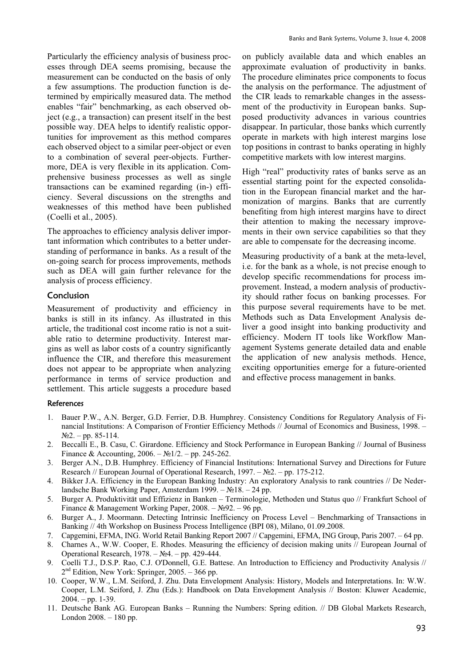Particularly the efficiency analysis of business processes through DEA seems promising, because the measurement can be conducted on the basis of only a few assumptions. The production function is determined by empirically measured data. The method enables "fair" benchmarking, as each observed object (e.g., a transaction) can present itself in the best possible way. DEA helps to identify realistic opportunities for improvement as this method compares each observed object to a similar peer-object or even to a combination of several peer-objects. Furthermore, DEA is very flexible in its application. Comprehensive business processes as well as single transactions can be examined regarding (in-) efficiency. Several discussions on the strengths and weaknesses of this method have been published (Coelli et al., 2005).

The approaches to efficiency analysis deliver important information which contributes to a better understanding of performance in banks. As a result of the on-going search for process improvements, methods such as DEA will gain further relevance for the analysis of process efficiency.

### Conclusion

Measurement of productivity and efficiency in banks is still in its infancy. As illustrated in this article, the traditional cost income ratio is not a suitable ratio to determine productivity. Interest margins as well as labor costs of a country significantly influence the CIR, and therefore this measurement does not appear to be appropriate when analyzing performance in terms of service production and settlement. This article suggests a procedure based on publicly available data and which enables an approximate evaluation of productivity in banks. The procedure eliminates price components to focus the analysis on the performance. The adjustment of the CIR leads to remarkable changes in the assessment of the productivity in European banks. Supposed productivity advances in various countries disappear. In particular, those banks which currently operate in markets with high interest margins lose top positions in contrast to banks operating in highly competitive markets with low interest margins.

High "real" productivity rates of banks serve as an essential starting point for the expected consolidation in the European financial market and the harmonization of margins. Banks that are currently benefiting from high interest margins have to direct their attention to making the necessary improvements in their own service capabilities so that they are able to compensate for the decreasing income.

Measuring productivity of a bank at the meta-level, i.e. for the bank as a whole, is not precise enough to develop specific recommendations for process improvement. Instead, a modern analysis of productivity should rather focus on banking processes. For this purpose several requirements have to be met. Methods such as Data Envelopment Analysis deliver a good insight into banking productivity and efficiency. Modern IT tools like Workflow Management Systems generate detailed data and enable the application of new analysis methods. Hence, exciting opportunities emerge for a future-oriented and effective process management in banks.

#### **References**

- 1. Bauer P.W., A.N. Berger, G.D. Ferrier, D.B. Humphrey. Consistency Conditions for Regulatory Analysis of Financial Institutions: A Comparison of Frontier Efficiency Methods // Journal of Economics and Business, 1998. –  $N<sub>2</sub>2. - pp. 85-114.$
- 2. Beccalli E., B. Casu, C. Girardone. Efficiency and Stock Performance in European Banking // Journal of Business Finance & Accounting, 2006. –  $\mathbb{N}^{1/2}$ . – pp. 245-262.
- 3. Berger A.N., D.B. Humphrey. Efficiency of Financial Institutions: International Survey and Directions for Future Research // European Journal of Operational Research, 1997. – №2. – pp. 175-212.
- 4. Bikker J.A. Efficiency in the European Banking Industry: An exploratory Analysis to rank countries // De Nederlandsche Bank Working Paper, Amsterdam 1999. –  $\mathcal{N}$ <sup>018.</sup> – 24 pp.
- 5. Burger A. Produktivität und Effizienz in Banken Terminologie, Methoden und Status quo // Frankfurt School of Finance & Management Working Paper,  $2008. - N992. - 96$  pp.
- 6. Burger A., J. Moormann. Detecting Intrinsic Inefficiency on Process Level Benchmarking of Transactions in Banking // 4th Workshop on Business Process Intelligence (BPI 08), Milano, 01.09.2008.
- 7. Capgemini, EFMA, ING. World Retail Banking Report 2007 // Capgemini, EFMA, ING Group, Paris 2007. 64 pp.
- 8. Charnes A., W.W. Cooper, E. Rhodes. Measuring the efficiency of decision making units // European Journal of Operational Research,  $1978. - N<sub>2</sub>4. - pp. 429-444.$
- 9. Coelli T.J., D.S.P. Rao, C.J. O'Donnell, G.E. Battese. An Introduction to Efficiency and Productivity Analysis //  $2<sup>nd</sup>$  Edition, New York: Springer, 2005. – 366 pp.
- 10. Cooper, W.W., L.M. Seiford, J. Zhu. Data Envelopment Analysis: History, Models and Interpretations. In: W.W. Cooper, L.M. Seiford, J. Zhu (Eds.): Handbook on Data Envelopment Analysis // Boston: Kluwer Academic,  $2004. - pp. 1-39.$
- 11. Deutsche Bank AG. European Banks Running the Numbers: Spring edition. // DB Global Markets Research, London 2008. – 180 pp.